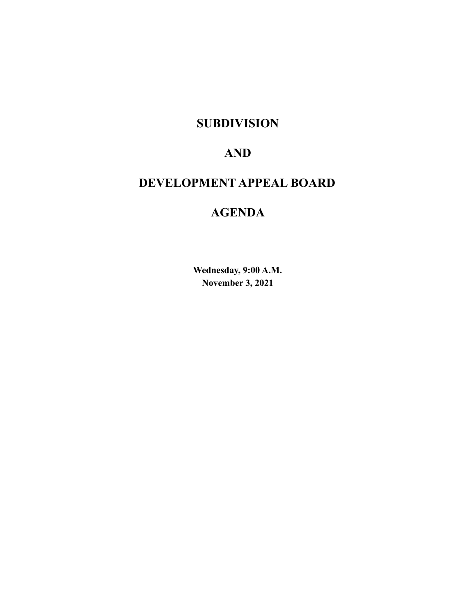# **SUBDIVISION**

# **AND**

# **DEVELOPMENT APPEAL BOARD**

# **AGENDA**

**Wednesday, 9:00 A.M. November 3, 2021**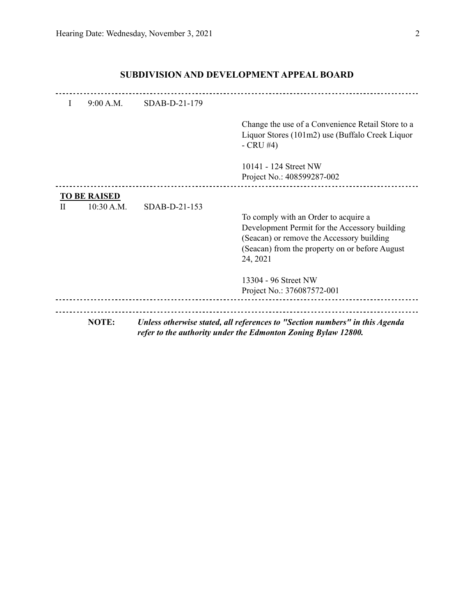|   | NOTE:               |               | Unless otherwise stated, all references to "Section numbers" in this Agenda<br>refer to the authority under the Edmonton Zoning Bylaw 12800.                                                     |
|---|---------------------|---------------|--------------------------------------------------------------------------------------------------------------------------------------------------------------------------------------------------|
|   |                     |               | Project No.: 376087572-001                                                                                                                                                                       |
|   |                     |               | 13304 - 96 Street NW                                                                                                                                                                             |
| Н | 10:30 A.M.          | SDAB-D-21-153 | To comply with an Order to acquire a<br>Development Permit for the Accessory building<br>(Seacan) or remove the Accessory building<br>(Seacan) from the property on or before August<br>24, 2021 |
|   | <b>TO BE RAISED</b> |               |                                                                                                                                                                                                  |
|   |                     |               | 10141 - 124 Street NW<br>Project No.: 408599287-002                                                                                                                                              |
|   |                     |               | Change the use of a Convenience Retail Store to a<br>Liquor Stores (101m2) use (Buffalo Creek Liquor<br>$-CRU#4)$                                                                                |
| I | 9:00 A.M.           | SDAB-D-21-179 |                                                                                                                                                                                                  |
|   |                     |               |                                                                                                                                                                                                  |

## **SUBDIVISION AND DEVELOPMENT APPEAL BOARD**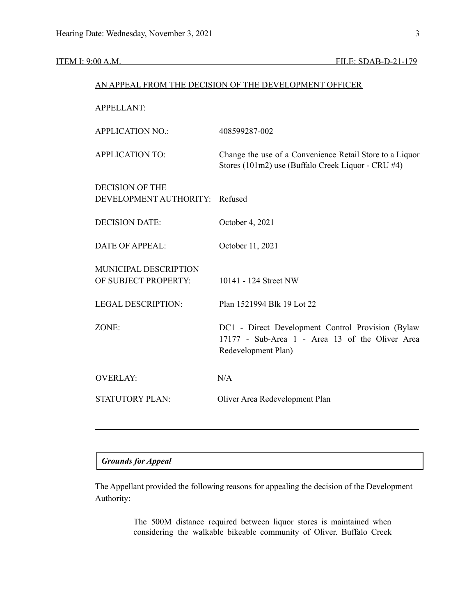### ITEM I: 9:00 A.M. FILE: SDAB-D-21-179

| AN APPEAL FROM THE DECISION OF THE DEVELOPMENT OFFICER |                                                                                                                              |  |
|--------------------------------------------------------|------------------------------------------------------------------------------------------------------------------------------|--|
| <b>APPELLANT:</b>                                      |                                                                                                                              |  |
| <b>APPLICATION NO.:</b>                                | 408599287-002                                                                                                                |  |
| <b>APPLICATION TO:</b>                                 | Change the use of a Convenience Retail Store to a Liquor<br>Stores (101m2) use (Buffalo Creek Liquor - CRU #4)               |  |
| <b>DECISION OF THE</b><br>DEVELOPMENT AUTHORITY:       | Refused                                                                                                                      |  |
| <b>DECISION DATE:</b>                                  | October 4, 2021                                                                                                              |  |
| <b>DATE OF APPEAL:</b>                                 | October 11, 2021                                                                                                             |  |
| MUNICIPAL DESCRIPTION<br>OF SUBJECT PROPERTY:          | 10141 - 124 Street NW                                                                                                        |  |
| <b>LEGAL DESCRIPTION:</b>                              | Plan 1521994 Blk 19 Lot 22                                                                                                   |  |
| ZONE:                                                  | DC1 - Direct Development Control Provision (Bylaw)<br>17177 - Sub-Area 1 - Area 13 of the Oliver Area<br>Redevelopment Plan) |  |
| <b>OVERLAY:</b>                                        | N/A                                                                                                                          |  |
| STATUTORY PLAN:                                        | Oliver Area Redevelopment Plan                                                                                               |  |
|                                                        |                                                                                                                              |  |

## *Grounds for Appeal*

The Appellant provided the following reasons for appealing the decision of the Development Authority:

> The 500M distance required between liquor stores is maintained when considering the walkable bikeable community of Oliver. Buffalo Creek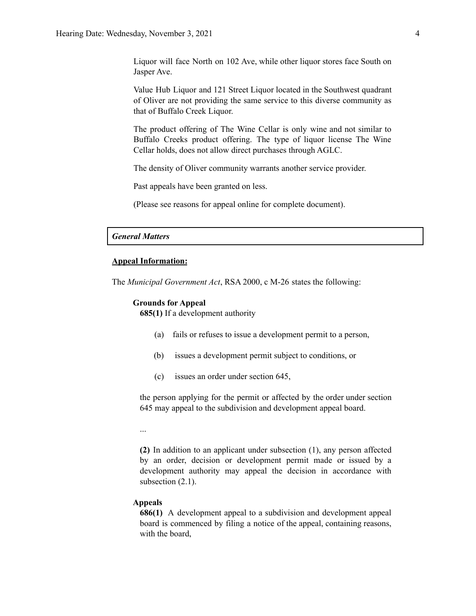Liquor will face North on 102 Ave, while other liquor stores face South on Jasper Ave.

Value Hub Liquor and 121 Street Liquor located in the Southwest quadrant of Oliver are not providing the same service to this diverse community as that of Buffalo Creek Liquor.

The product offering of The Wine Cellar is only wine and not similar to Buffalo Creeks product offering. The type of liquor license The Wine Cellar holds, does not allow direct purchases through AGLC.

The density of Oliver community warrants another service provider.

Past appeals have been granted on less.

(Please see reasons for appeal online for complete document).

#### *General Matters*

#### **Appeal Information:**

The *Municipal Government Act*, RSA 2000, c M-26 states the following:

#### **Grounds for Appeal**

**685(1)** If a development authority

- (a) fails or refuses to issue a development permit to a person,
- (b) issues a development permit subject to conditions, or
- (c) issues an order under section 645,

the person applying for the permit or affected by the order under section 645 may appeal to the subdivision and development appeal board.

...

**(2)** In addition to an applicant under subsection (1), any person affected by an order, decision or development permit made or issued by a development authority may appeal the decision in accordance with subsection  $(2.1)$ .

#### **Appeals**

**686(1)** A development appeal to a subdivision and development appeal board is commenced by filing a notice of the appeal, containing reasons, with the board,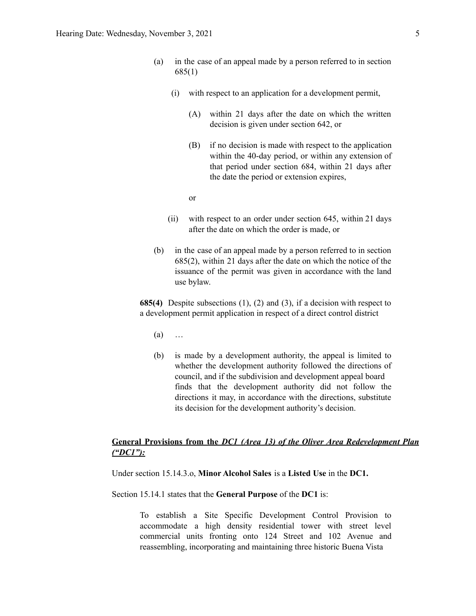- (a) in the case of an appeal made by a person referred to in section 685(1)
	- (i) with respect to an application for a development permit,
		- (A) within 21 days after the date on which the written decision is given under section 642, or
		- (B) if no decision is made with respect to the application within the 40-day period, or within any extension of that period under section 684, within 21 days after the date the period or extension expires,

or

- (ii) with respect to an order under section 645, within 21 days after the date on which the order is made, or
- (b) in the case of an appeal made by a person referred to in section 685(2), within 21 days after the date on which the notice of the issuance of the permit was given in accordance with the land use bylaw.

**685(4)** Despite subsections (1), (2) and (3), if a decision with respect to a development permit application in respect of a direct control district

- (a) …
- (b) is made by a development authority, the appeal is limited to whether the development authority followed the directions of council, and if the subdivision and development appeal board finds that the development authority did not follow the directions it may, in accordance with the directions, substitute its decision for the development authority's decision.

### **General Provisions from the** *DC1 (Area 13) of the Oliver Area Redevelopment Plan ("DC1"):*

Under section 15.14.3.o, **Minor Alcohol Sales** is a **Listed Use** in the **DC1.**

#### Section 15.14.1 states that the **General Purpose** of the **DC1** is:

To establish a Site Specific Development Control Provision to accommodate a high density residential tower with street level commercial units fronting onto 124 Street and 102 Avenue and reassembling, incorporating and maintaining three historic Buena Vista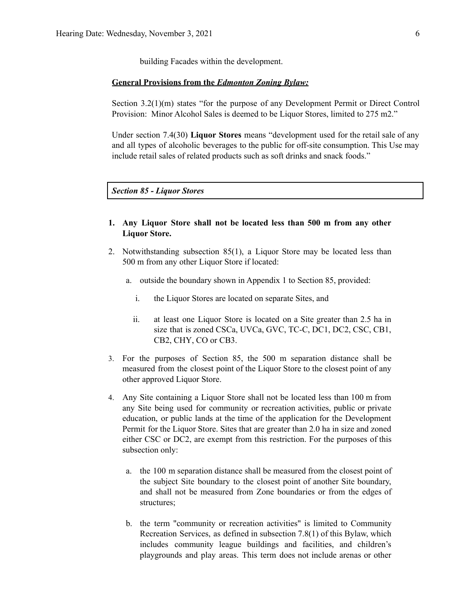building Facades within the development.

#### **General Provisions from the** *Edmonton Zoning Bylaw:*

Section 3.2(1)(m) states "for the purpose of any Development Permit or Direct Control Provision: Minor Alcohol Sales is deemed to be Liquor Stores, limited to 275 m2."

Under section 7.4(30) **Liquor Stores** means "development used for the retail sale of any and all types of alcoholic beverages to the public for off-site consumption. This Use may include retail sales of related products such as soft drinks and snack foods."

*Section 85 - Liquor Stores*

- **1. Any Liquor Store shall not be located less than 500 m from any other Liquor Store.**
- 2. Notwithstanding subsection 85(1), a Liquor Store may be located less than 500 m from any other Liquor Store if located:
	- a. outside the boundary shown in Appendix 1 to Section 85, provided:
		- i. the Liquor Stores are located on separate Sites, and
		- ii. at least one Liquor Store is located on a Site greater than 2.5 ha in size that is zoned CSCa, UVCa, GVC, TC-C, DC1, DC2, CSC, CB1, CB2, CHY, CO or CB3.
- 3. For the purposes of Section 85, the 500 m separation distance shall be measured from the closest point of the Liquor Store to the closest point of any other approved Liquor Store.
- 4. Any Site containing a Liquor Store shall not be located less than 100 m from any Site being used for community or recreation activities, public or private education, or public lands at the time of the application for the Development Permit for the Liquor Store. Sites that are greater than 2.0 ha in size and zoned either CSC or DC2, are exempt from this restriction. For the purposes of this subsection only:
	- a. the 100 m separation distance shall be measured from the closest point of the subject Site boundary to the closest point of another Site boundary, and shall not be measured from Zone boundaries or from the edges of structures;
	- b. the term "community or recreation activities" is limited to Community Recreation Services, as defined in subsection 7.8(1) of this Bylaw, which includes community league buildings and facilities, and children's playgrounds and play areas. This term does not include arenas or other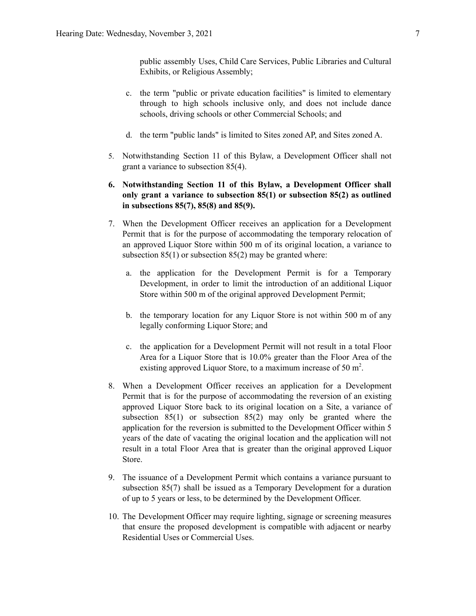public assembly Uses, Child Care Services, Public Libraries and Cultural Exhibits, or Religious Assembly;

- c. the term "public or private education facilities" is limited to elementary through to high schools inclusive only, and does not include dance schools, driving schools or other Commercial Schools; and
- d. the term "public lands" is limited to Sites zoned AP, and Sites zoned A.
- 5. Notwithstanding Section 11 of this Bylaw, a Development Officer shall not grant a variance to subsection 85(4).
- **6. Notwithstanding Section 11 of this Bylaw, a Development Officer shall only grant a variance to subsection 85(1) or subsection 85(2) as outlined in subsections 85(7), 85(8) and 85(9).**
- 7. When the Development Officer receives an application for a Development Permit that is for the purpose of accommodating the temporary relocation of an approved Liquor Store within 500 m of its original location, a variance to subsection 85(1) or subsection 85(2) may be granted where:
	- a. the application for the Development Permit is for a Temporary Development, in order to limit the introduction of an additional Liquor Store within 500 m of the original approved Development Permit;
	- b. the temporary location for any Liquor Store is not within 500 m of any legally conforming Liquor Store; and
	- c. the application for a Development Permit will not result in a total Floor Area for a Liquor Store that is 10.0% greater than the Floor Area of the existing approved Liquor Store, to a maximum increase of 50 m<sup>2</sup>.
- 8. When a Development Officer receives an application for a Development Permit that is for the purpose of accommodating the reversion of an existing approved Liquor Store back to its original location on a Site, a variance of subsection 85(1) or subsection 85(2) may only be granted where the application for the reversion is submitted to the Development Officer within 5 years of the date of vacating the original location and the application will not result in a total Floor Area that is greater than the original approved Liquor Store.
- 9. The issuance of a Development Permit which contains a variance pursuant to subsection 85(7) shall be issued as a Temporary Development for a duration of up to 5 years or less, to be determined by the Development Officer.
- 10. The Development Officer may require lighting, signage or screening measures that ensure the proposed development is compatible with adjacent or nearby Residential Uses or Commercial Uses.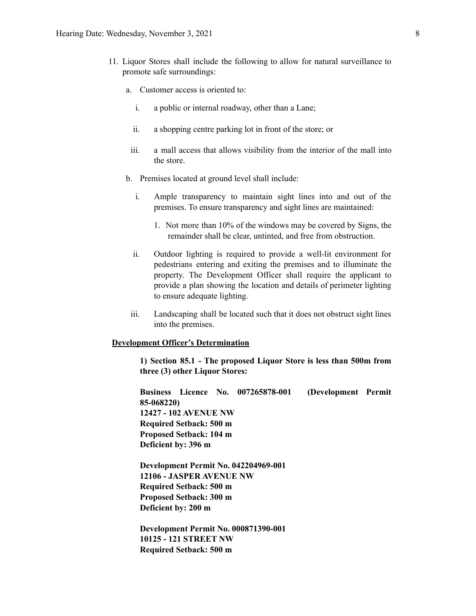- 11. Liquor Stores shall include the following to allow for natural surveillance to promote safe surroundings:
	- a. Customer access is oriented to:
		- i. a public or internal roadway, other than a Lane;
		- ii. a shopping centre parking lot in front of the store; or
		- iii. a mall access that allows visibility from the interior of the mall into the store.
	- b. Premises located at ground level shall include:
		- i. Ample transparency to maintain sight lines into and out of the premises. To ensure transparency and sight lines are maintained:
			- 1. Not more than 10% of the windows may be covered by Signs, the remainder shall be clear, untinted, and free from obstruction.
		- ii. Outdoor lighting is required to provide a well-lit environment for pedestrians entering and exiting the premises and to illuminate the property. The Development Officer shall require the applicant to provide a plan showing the location and details of perimeter lighting to ensure adequate lighting.
	- iii. Landscaping shall be located such that it does not obstruct sight lines into the premises.

#### **Development Officer's Determination**

**1) Section 85.1 - The proposed Liquor Store is less than 500m from three (3) other Liquor Stores:**

**Business Licence No. 007265878-001 (Development Permit 85-068220) 12427 - 102 AVENUE NW Required Setback: 500 m Proposed Setback: 104 m Deficient by: 396 m**

**Development Permit No. 042204969-001 12106 - JASPER AVENUE NW Required Setback: 500 m Proposed Setback: 300 m Deficient by: 200 m**

**Development Permit No. 000871390-001 10125 - 121 STREET NW Required Setback: 500 m**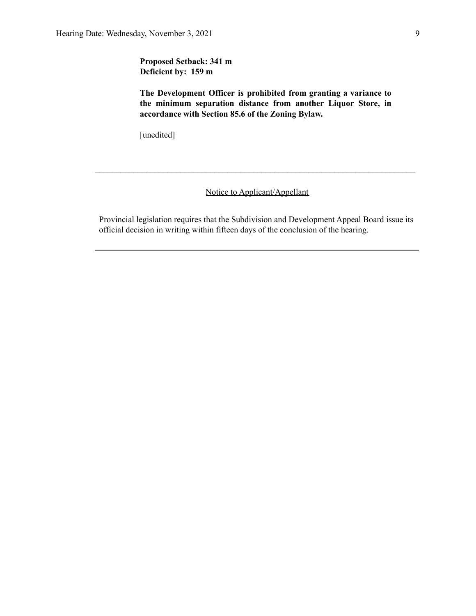**Proposed Setback: 341 m Deficient by: 159 m**

**The Development Officer is prohibited from granting a variance to the minimum separation distance from another Liquor Store, in accordance with Section 85.6 of the Zoning Bylaw.**

[unedited]

Notice to Applicant/Appellant

 $\mathcal{L}_\text{max} = \frac{1}{2} \sum_{i=1}^n \mathcal{L}_\text{max} = \frac{1}{2} \sum_{i=1}^n \mathcal{L}_\text{max} = \frac{1}{2} \sum_{i=1}^n \mathcal{L}_\text{max} = \frac{1}{2} \sum_{i=1}^n \mathcal{L}_\text{max} = \frac{1}{2} \sum_{i=1}^n \mathcal{L}_\text{max} = \frac{1}{2} \sum_{i=1}^n \mathcal{L}_\text{max} = \frac{1}{2} \sum_{i=1}^n \mathcal{L}_\text{max} = \frac{1}{2} \sum_{i=$ 

Provincial legislation requires that the Subdivision and Development Appeal Board issue its official decision in writing within fifteen days of the conclusion of the hearing.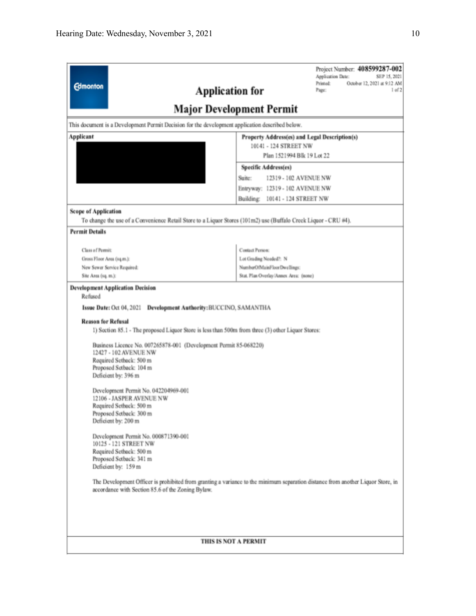| <b>Edmonton</b><br><b>Application for</b>                                                                                                                                                                                                                                                                                                                                                                                                                        | Project Number: 408599287-002<br>Application Date:<br>SEP 15, 2021<br>Printed:<br>October 12, 2021 at 9:12 AM<br>1 of 2<br>Page:<br><b>Major Development Permit</b> |  |
|------------------------------------------------------------------------------------------------------------------------------------------------------------------------------------------------------------------------------------------------------------------------------------------------------------------------------------------------------------------------------------------------------------------------------------------------------------------|---------------------------------------------------------------------------------------------------------------------------------------------------------------------|--|
| This document is a Development Permit Decision for the development application described below.                                                                                                                                                                                                                                                                                                                                                                  |                                                                                                                                                                     |  |
| Applicant                                                                                                                                                                                                                                                                                                                                                                                                                                                        | Property Address(es) and Legal Description(s)<br>10141 - 124 STREET NW<br>Plan 1521994 Blk 19 Lot 22                                                                |  |
|                                                                                                                                                                                                                                                                                                                                                                                                                                                                  | <b>Specific Address(es)</b><br>12319 - 102 AVENUE NW<br>Suite:<br>Entryway: 12319 - 102 AVENUE NW<br>Building: 10141 - 124 STREET NW                                |  |
| <b>Scope of Application</b><br>To change the use of a Convenience Retail Store to a Liquor Stores (101m2) use (Buffalo Creek Liquor - CRU #4).<br><b>Permit Details</b>                                                                                                                                                                                                                                                                                          |                                                                                                                                                                     |  |
| Class of Permit:<br>Gross Floor Area (sq.m.):<br>New Sewer Service Required:<br>Site Area (sq. m.):<br><b>Development Application Decision</b>                                                                                                                                                                                                                                                                                                                   | <b>Contact Person:</b><br>Lot Grading Needed?: N<br>NumberOfMainFloorDwellings:<br>Stat. Plan Overlay/Annex Area: (none)                                            |  |
| Refused<br>Issue Date: Oct 04, 2021<br>Development Authority: BUCCINO, SAMANTHA<br><b>Reason for Refusal</b><br>1) Section 85.1 - The proposed Liquor Store is less than 500m from three (3) other Liquor Stores:<br>Business Licence No. 007265878-001 (Development Permit 85-068220)<br>12427 - 102 AVENUE NW<br>Required Setback: 500 m<br>Proposed Setback: 104 m<br>Deficient by: 396 m<br>Development Permit No. 042204969-001<br>12106 - JASPER AVENUE NW |                                                                                                                                                                     |  |
| Required Setback: 500 m<br>Proposed Setback: 300 m<br>Deficient by: 200 m<br>Development Permit No. 000871390-001<br>10125 - 121 STREET NW<br>Required Setback: 500 m<br>Proposed Setback: 341 m<br>Deficient by: 159 m<br>The Development Officer is prohibited from granting a variance to the minimum separation distance from another Liquor Store, in<br>accordance with Section 85.6 of the Zoning Bylaw.                                                  |                                                                                                                                                                     |  |
|                                                                                                                                                                                                                                                                                                                                                                                                                                                                  | THIS IS NOT A PERMIT                                                                                                                                                |  |
|                                                                                                                                                                                                                                                                                                                                                                                                                                                                  |                                                                                                                                                                     |  |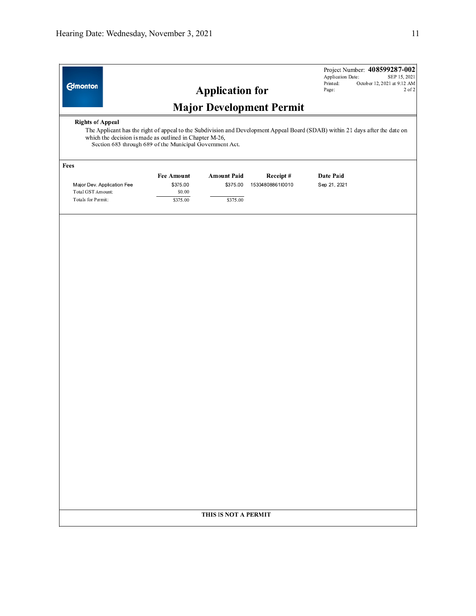| <b>Edmonton</b>                                                                                                                                                                                                                                                                 |                                                     | <b>Application for</b>                     | <b>Major Development Permit</b> | Application Date:<br>Printed:<br>Page: | Project Number: 408599287-002<br>SEP 15, 2021<br>October 12, 2021 at 9:12 AM<br>2 of 2 |
|---------------------------------------------------------------------------------------------------------------------------------------------------------------------------------------------------------------------------------------------------------------------------------|-----------------------------------------------------|--------------------------------------------|---------------------------------|----------------------------------------|----------------------------------------------------------------------------------------|
| <b>Rights of Appeal</b><br>The Applicant has the right of appeal to the Subdivision and Development Appeal Board (SDAB) within 21 days after the date on<br>which the decision is made as outlined in Chapter M-26,<br>Section 683 through 689 of the Municipal Government Act. |                                                     |                                            |                                 |                                        |                                                                                        |
| Fees                                                                                                                                                                                                                                                                            |                                                     |                                            |                                 |                                        |                                                                                        |
| Major Dev. Application Fee<br>Total GST Amount:<br>Totals for Permit:                                                                                                                                                                                                           | <b>Fee Amount</b><br>\$375.00<br>\$0.00<br>\$375.00 | <b>Amount Paid</b><br>\$375.00<br>\$375.00 | Receipt#<br>15304808861l0010    | Date Paid<br>Sep 21, 2021              |                                                                                        |
|                                                                                                                                                                                                                                                                                 |                                                     | THIS IS NOT A PERMIT                       |                                 |                                        |                                                                                        |
|                                                                                                                                                                                                                                                                                 |                                                     |                                            |                                 |                                        |                                                                                        |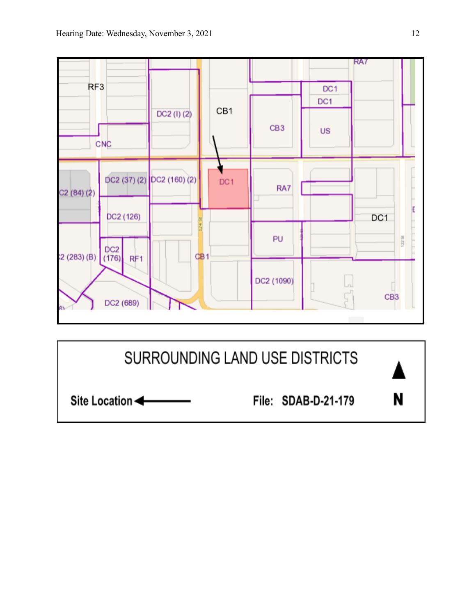

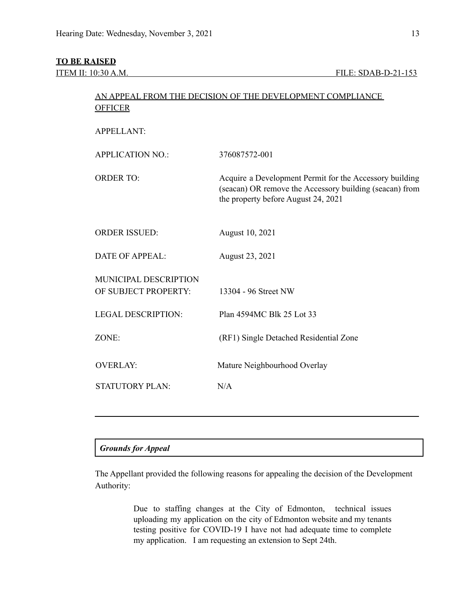#### **TO BE RAISED**

| <b>OFFICER</b>                                       | AN APPEAL FROM THE DECISION OF THE DEVELOPMENT COMPLIANCE                                                                                                 |
|------------------------------------------------------|-----------------------------------------------------------------------------------------------------------------------------------------------------------|
| <b>APPELLANT:</b>                                    |                                                                                                                                                           |
| <b>APPLICATION NO.:</b>                              | 376087572-001                                                                                                                                             |
| <b>ORDER TO:</b>                                     | Acquire a Development Permit for the Accessory building<br>(seacan) OR remove the Accessory building (seacan) from<br>the property before August 24, 2021 |
| <b>ORDER ISSUED:</b>                                 | August 10, 2021                                                                                                                                           |
| <b>DATE OF APPEAL:</b>                               | August 23, 2021                                                                                                                                           |
| <b>MUNICIPAL DESCRIPTION</b><br>OF SUBJECT PROPERTY: | 13304 - 96 Street NW                                                                                                                                      |
| <b>LEGAL DESCRIPTION:</b>                            | Plan 4594MC Blk 25 Lot 33                                                                                                                                 |
| ZONE:                                                | (RF1) Single Detached Residential Zone                                                                                                                    |
| <b>OVERLAY:</b>                                      | Mature Neighbourhood Overlay                                                                                                                              |
| <b>STATUTORY PLAN:</b>                               | N/A                                                                                                                                                       |
|                                                      |                                                                                                                                                           |

#### *Grounds for Appeal*

The Appellant provided the following reasons for appealing the decision of the Development Authority:

> Due to staffing changes at the City of Edmonton, technical issues uploading my application on the city of Edmonton website and my tenants testing positive for COVID-19 I have not had adequate time to complete my application. I am requesting an extension to Sept 24th.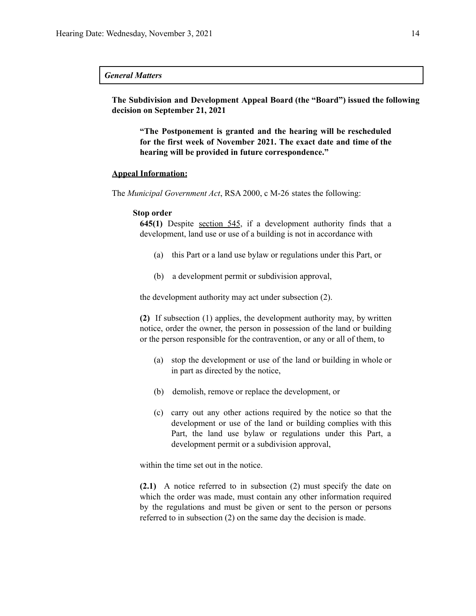#### *General Matters*

**The Subdivision and Development Appeal Board (the "Board") issued the following decision on September 21, 2021**

**"The Postponement is granted and the hearing will be rescheduled for the first week of November 2021. The exact date and time of the hearing will be provided in future correspondence."**

#### **Appeal Information:**

The *Municipal Government Act*, RSA 2000, c M-26 states the following:

#### **Stop order**

**645(1)** Despite section 545, if a development authority finds that a development, land use or use of a building is not in accordance with

- (a) this Part or a land use bylaw or regulations under this Part, or
- (b) a development permit or subdivision approval,

the development authority may act under subsection (2).

**(2)** If subsection (1) applies, the development authority may, by written notice, order the owner, the person in possession of the land or building or the person responsible for the contravention, or any or all of them, to

- (a) stop the development or use of the land or building in whole or in part as directed by the notice,
- (b) demolish, remove or replace the development, or
- (c) carry out any other actions required by the notice so that the development or use of the land or building complies with this Part, the land use bylaw or regulations under this Part, a development permit or a subdivision approval,

within the time set out in the notice.

**(2.1)** A notice referred to in subsection (2) must specify the date on which the order was made, must contain any other information required by the regulations and must be given or sent to the person or persons referred to in subsection (2) on the same day the decision is made.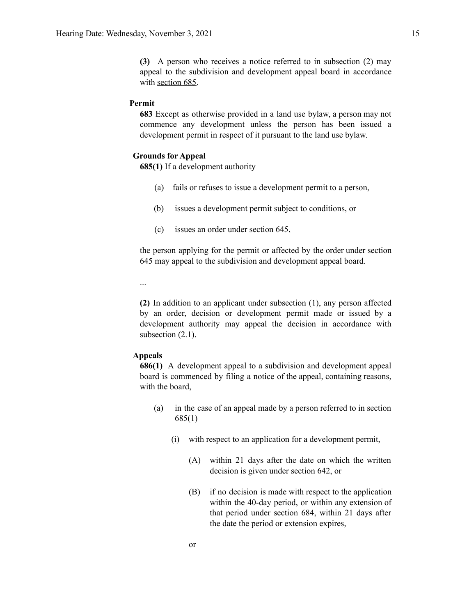**(3)** A person who receives a notice referred to in subsection (2) may appeal to the subdivision and development appeal board in accordance with section 685.

#### **Permit**

**683** Except as otherwise provided in a land use bylaw, a person may not commence any development unless the person has been issued a development permit in respect of it pursuant to the land use bylaw.

#### **Grounds for Appeal**

**685(1)** If a development authority

- (a) fails or refuses to issue a development permit to a person,
- (b) issues a development permit subject to conditions, or
- (c) issues an order under section 645,

the person applying for the permit or affected by the order under section 645 may appeal to the subdivision and development appeal board.

...

**(2)** In addition to an applicant under subsection (1), any person affected by an order, decision or development permit made or issued by a development authority may appeal the decision in accordance with subsection  $(2.1)$ .

#### **Appeals**

**686(1)** A development appeal to a subdivision and development appeal board is commenced by filing a notice of the appeal, containing reasons, with the board,

- (a) in the case of an appeal made by a person referred to in section 685(1)
	- (i) with respect to an application for a development permit,
		- (A) within 21 days after the date on which the written decision is given under section 642, or
		- (B) if no decision is made with respect to the application within the 40-day period, or within any extension of that period under section 684, within 21 days after the date the period or extension expires,

or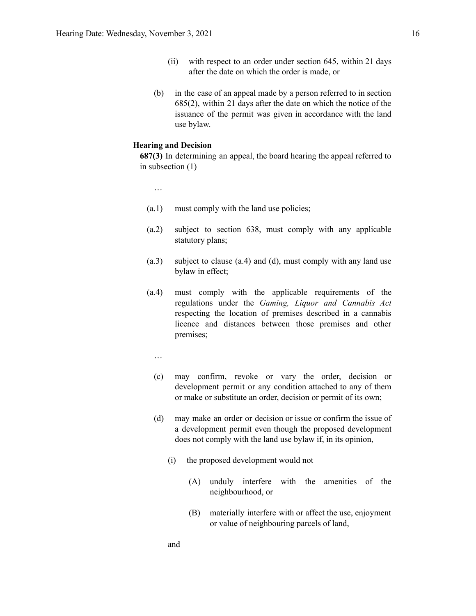- (ii) with respect to an order under section 645, within 21 days after the date on which the order is made, or
- (b) in the case of an appeal made by a person referred to in section 685(2), within 21 days after the date on which the notice of the issuance of the permit was given in accordance with the land use bylaw.

#### **Hearing and Decision**

**687(3)** In determining an appeal, the board hearing the appeal referred to in subsection (1)

…

- (a.1) must comply with the land use policies;
- (a.2) subject to section 638, must comply with any applicable statutory plans;
- (a.3) subject to clause (a.4) and (d), must comply with any land use bylaw in effect;
- (a.4) must comply with the applicable requirements of the regulations under the *Gaming, Liquor and Cannabis Act* respecting the location of premises described in a cannabis licence and distances between those premises and other premises;
	- …
	- (c) may confirm, revoke or vary the order, decision or development permit or any condition attached to any of them or make or substitute an order, decision or permit of its own;
	- (d) may make an order or decision or issue or confirm the issue of a development permit even though the proposed development does not comply with the land use bylaw if, in its opinion,
		- (i) the proposed development would not
			- (A) unduly interfere with the amenities of the neighbourhood, or
			- (B) materially interfere with or affect the use, enjoyment or value of neighbouring parcels of land,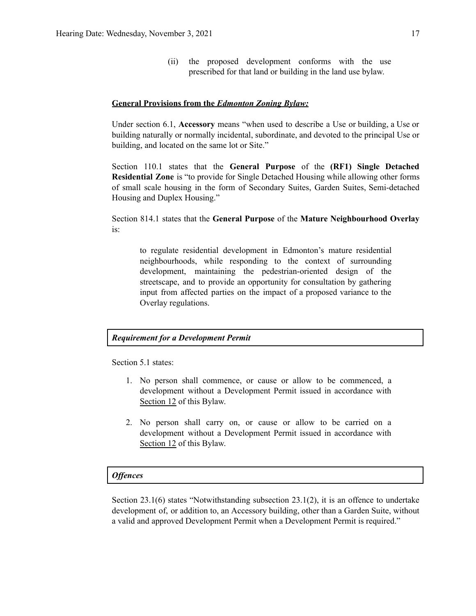(ii) the proposed development conforms with the use prescribed for that land or building in the land use bylaw.

#### **General Provisions from the** *Edmonton Zoning Bylaw:*

Under section 6.1, **Accessory** means "when used to describe a Use or building, a Use or building naturally or normally incidental, subordinate, and devoted to the principal Use or building, and located on the same lot or Site."

Section 110.1 states that the **General Purpose** of the **(RF1) Single Detached Residential Zone** is "to provide for Single Detached Housing while allowing other forms of small scale housing in the form of Secondary Suites, Garden Suites, Semi-detached Housing and Duplex Housing."

Section 814.1 states that the **General Purpose** of the **Mature Neighbourhood Overlay** is:

to regulate residential development in Edmonton's mature residential neighbourhoods, while responding to the context of surrounding development, maintaining the pedestrian-oriented design of the streetscape, and to provide an opportunity for consultation by gathering input from affected parties on the impact of a proposed variance to the Overlay regulations.

#### *Requirement for a Development Permit*

Section 5.1 states:

- 1. No person shall commence, or cause or allow to be commenced, a development without a Development Permit issued in accordance with Section 12 of this Bylaw.
- 2. No person shall carry on, or cause or allow to be carried on a development without a Development Permit issued in accordance with Section 12 of this Bylaw.

#### *Of ences*

Section 23.1(6) states "Notwithstanding subsection 23.1(2), it is an offence to undertake development of, or addition to, an Accessory building, other than a Garden Suite, without a valid and approved Development Permit when a Development Permit is required."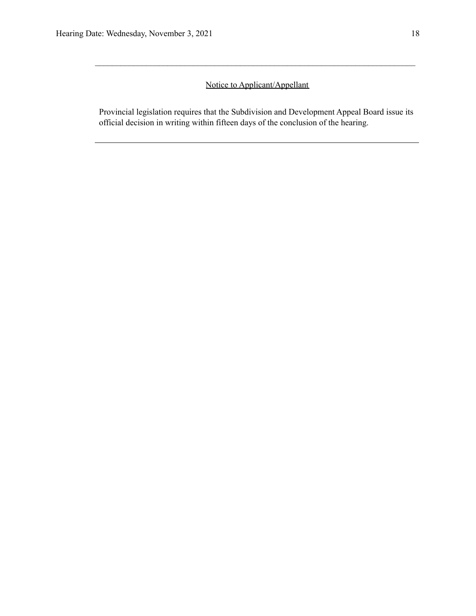### Notice to Applicant/Appellant

 $\mathcal{L}_\text{max} = \frac{1}{2} \sum_{i=1}^n \mathcal{L}_\text{max} = \frac{1}{2} \sum_{i=1}^n \mathcal{L}_\text{max} = \frac{1}{2} \sum_{i=1}^n \mathcal{L}_\text{max} = \frac{1}{2} \sum_{i=1}^n \mathcal{L}_\text{max} = \frac{1}{2} \sum_{i=1}^n \mathcal{L}_\text{max} = \frac{1}{2} \sum_{i=1}^n \mathcal{L}_\text{max} = \frac{1}{2} \sum_{i=1}^n \mathcal{L}_\text{max} = \frac{1}{2} \sum_{i=$ 

Provincial legislation requires that the Subdivision and Development Appeal Board issue its official decision in writing within fifteen days of the conclusion of the hearing.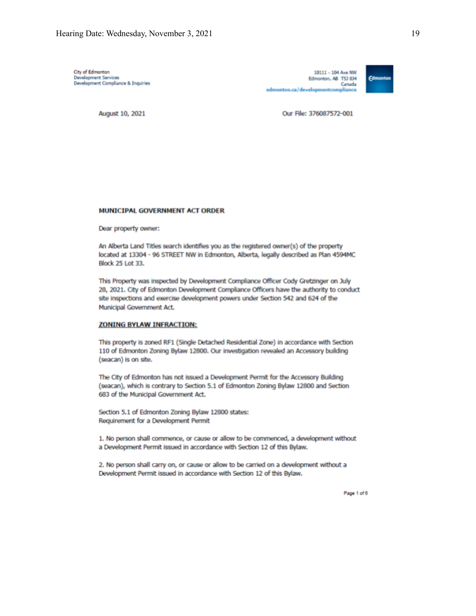City of Edmonton Development Services<br>Development Compliance & Inquiries

10111 - 104 Ave NW Edmonton, AB T5J 0J4 Canada edmonton.ca/developmentcompliance



August 10, 2021

Our File: 376087572-001

#### MUNICIPAL GOVERNMENT ACT ORDER

Dear property owner:

An Alberta Land Titles search identifies you as the registered owner(s) of the property located at 13304 - 96 STREET NW in Edmonton, Alberta, legally described as Plan 4594MC **Block 25 Lot 33.** 

This Property was inspected by Development Compliance Officer Cody Gretzinger on July 28, 2021. City of Edmonton Development Compliance Officers have the authority to conduct site inspections and exercise development powers under Section 542 and 624 of the Municipal Government Act.

#### **ZONING BYLAW INFRACTION:**

This property is zoned RF1 (Single Detached Residential Zone) in accordance with Section 110 of Edmonton Zoning Bylaw 12800. Our investigation revealed an Accessory building (seacan) is on site.

The City of Edmonton has not issued a Development Permit for the Accessory Building (seacan), which is contrary to Section 5.1 of Edmonton Zoning Bylaw 12800 and Section 683 of the Municipal Government Act.

Section 5.1 of Edmonton Zoning Bylaw 12800 states: Requirement for a Development Permit

1. No person shall commence, or cause or allow to be commenced, a development without a Development Permit issued in accordance with Section 12 of this Bylaw.

2. No person shall carry on, or cause or allow to be carried on a development without a Development Permit issued in accordance with Section 12 of this Bylaw.

Page 1 of 6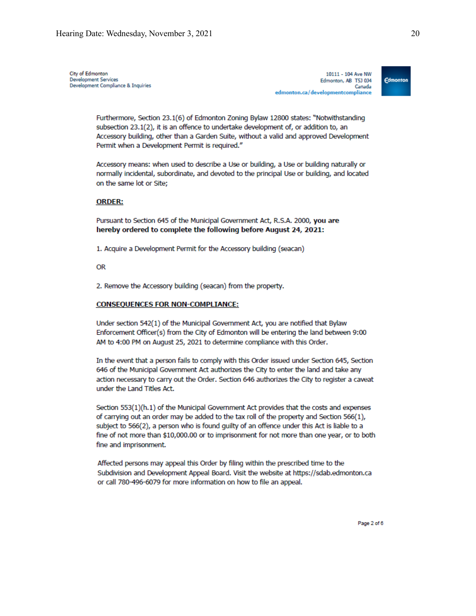City of Edmonton Development Services **Development Compliance & Inquiries** 

10111 - 104 Ave NW Edmonton, AB T5J 0J4 Canada edmonton.ca/developmentcompliance



Furthermore, Section 23.1(6) of Edmonton Zoning Bylaw 12800 states: "Notwithstanding subsection 23.1(2), it is an offence to undertake development of, or addition to, an Accessory building, other than a Garden Suite, without a valid and approved Development Permit when a Development Permit is required."

Accessory means: when used to describe a Use or building, a Use or building naturally or normally incidental, subordinate, and devoted to the principal Use or building, and located on the same lot or Site:

#### **ORDER:**

Pursuant to Section 645 of the Municipal Government Act, R.S.A. 2000, you are hereby ordered to complete the following before August 24, 2021:

1. Acquire a Development Permit for the Accessory building (seacan)

**OR** 

2. Remove the Accessory building (seacan) from the property.

#### **CONSEQUENCES FOR NON-COMPLIANCE:**

Under section 542(1) of the Municipal Government Act, you are notified that Bylaw Enforcement Officer(s) from the City of Edmonton will be entering the land between 9:00 AM to 4:00 PM on August 25, 2021 to determine compliance with this Order.

In the event that a person fails to comply with this Order issued under Section 645, Section 646 of the Municipal Government Act authorizes the City to enter the land and take any action necessary to carry out the Order. Section 646 authorizes the City to register a caveat under the Land Titles Act.

Section 553(1)(h.1) of the Municipal Government Act provides that the costs and expenses of carrying out an order may be added to the tax roll of the property and Section 566(1), subject to 566(2), a person who is found guilty of an offence under this Act is liable to a fine of not more than \$10,000.00 or to imprisonment for not more than one year, or to both fine and imprisonment.

Affected persons may appeal this Order by filing within the prescribed time to the Subdivision and Development Appeal Board. Visit the website at https://sdab.edmonton.ca or call 780-496-6079 for more information on how to file an appeal.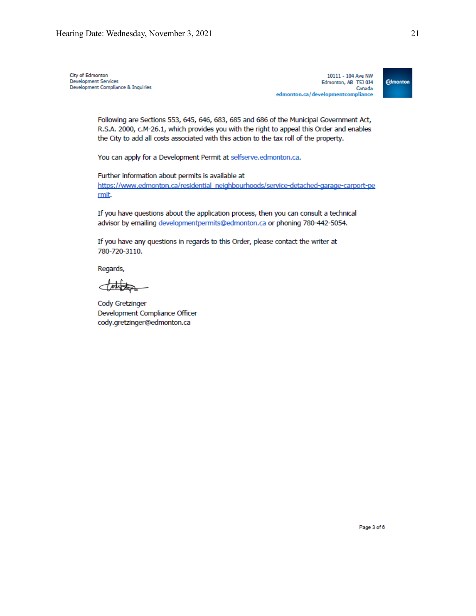City of Edmonton **Development Services Development Compliance & Inquiries** 

10111 - 104 Ave NW Edmonton, AB T5J 0J4 Canada edmonton.ca/developmentcompliance



Following are Sections 553, 645, 646, 683, 685 and 686 of the Municipal Government Act, R.S.A. 2000, c.M-26.1, which provides you with the right to appeal this Order and enables the City to add all costs associated with this action to the tax roll of the property.

You can apply for a Development Permit at selfserve.edmonton.ca.

Further information about permits is available at https://www.edmonton.ca/residential\_neighbourhoods/service-detached-garage-carport-pe rmit.

If you have questions about the application process, then you can consult a technical advisor by emailing developmentpermits@edmonton.ca or phoning 780-442-5054.

If you have any questions in regards to this Order, please contact the writer at 780-720-3110.

Regards,

d nutrition

Cody Gretzinger Development Compliance Officer cody.gretzinger@edmonton.ca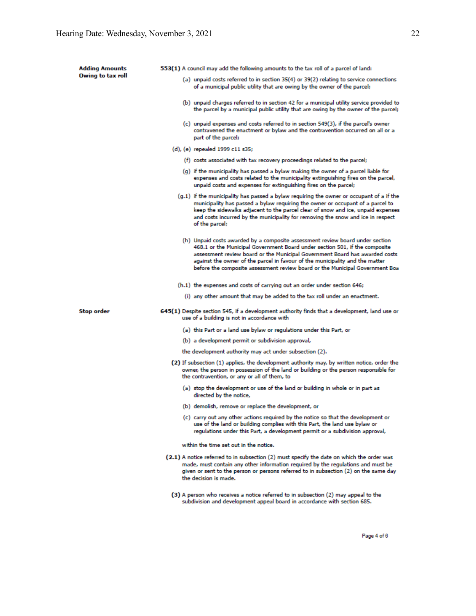| <b>Adding Amounts</b> | 553(1) A council may add the following amounts to the tax roll of a parcel of land:                                                                                                                                                                                                                                                                                                                         |  |
|-----------------------|-------------------------------------------------------------------------------------------------------------------------------------------------------------------------------------------------------------------------------------------------------------------------------------------------------------------------------------------------------------------------------------------------------------|--|
| Owing to tax roll     | (a) unpaid costs referred to in section 35(4) or 39(2) relating to service connections<br>of a municipal public utility that are owing by the owner of the parcel;                                                                                                                                                                                                                                          |  |
|                       | (b) unpaid charges referred to in section 42 for a municipal utility service provided to<br>the parcel by a municipal public utility that are owing by the owner of the parcel;                                                                                                                                                                                                                             |  |
|                       | (c) unpaid expenses and costs referred to in section 549(3), if the parcel's owner<br>contravened the enactment or bylaw and the contravention occurred on all or a<br>part of the parcel;                                                                                                                                                                                                                  |  |
|                       | (d), (e) repealed 1999 c11 s35;                                                                                                                                                                                                                                                                                                                                                                             |  |
|                       | (f) costs associated with tax recovery proceedings related to the parcel;                                                                                                                                                                                                                                                                                                                                   |  |
|                       | (g) if the municipality has passed a bylaw making the owner of a parcel liable for<br>expenses and costs related to the municipality extinguishing fires on the parcel,<br>unpaid costs and expenses for extinguishing fires on the parcel;                                                                                                                                                                 |  |
|                       | $(g,1)$ if the municipality has passed a bylaw requiring the owner or occupant of a if the<br>municipality has passed a bylaw requiring the owner or occupant of a parcel to<br>keep the sidewalks adjacent to the parcel clear of snow and ice, unpaid expenses<br>and costs incurred by the municipality for removing the snow and ice in respect<br>of the parcel;                                       |  |
|                       | (h) Unpaid costs awarded by a composite assessment review board under section<br>468.1 or the Municipal Government Board under section 501, if the composite<br>assessment review board or the Municipal Government Board has awarded costs<br>against the owner of the parcel in favour of the municipality and the matter<br>before the composite assessment review board or the Municipal Government Boa |  |
|                       | (h.1) the expenses and costs of carrying out an order under section 646;                                                                                                                                                                                                                                                                                                                                    |  |
|                       | (i) any other amount that may be added to the tax roll under an enactment.                                                                                                                                                                                                                                                                                                                                  |  |
| Stop order            | 645(1) Despite section 545, if a development authority finds that a development, land use or<br>use of a building is not in accordance with                                                                                                                                                                                                                                                                 |  |
|                       | (a) this Part or a land use bylaw or regulations under this Part, or                                                                                                                                                                                                                                                                                                                                        |  |
|                       | (b) a development permit or subdivision approval,                                                                                                                                                                                                                                                                                                                                                           |  |
|                       | the development authority may act under subsection (2).                                                                                                                                                                                                                                                                                                                                                     |  |
|                       | (2) If subsection (1) applies, the development authority may, by written notice, order the<br>owner, the person in possession of the land or building or the person responsible for<br>the contravention, or any or all of them, to                                                                                                                                                                         |  |
|                       | (a) stop the development or use of the land or building in whole or in part as<br>directed by the notice,                                                                                                                                                                                                                                                                                                   |  |
|                       | (b) demolish, remove or replace the development, or                                                                                                                                                                                                                                                                                                                                                         |  |
|                       | (c) carry out any other actions required by the notice so that the development or<br>use of the land or building complies with this Part, the land use bylaw or<br>regulations under this Part, a development permit or a subdivision approval,                                                                                                                                                             |  |
|                       | within the time set out in the notice.                                                                                                                                                                                                                                                                                                                                                                      |  |
|                       | (2.1) A notice referred to in subsection (2) must specify the date on which the order was<br>made, must contain any other information required by the requlations and must be<br>given or sent to the person or persons referred to in subsection (2) on the same day<br>the decision is made.                                                                                                              |  |
|                       | (3) A person who receives a notice referred to in subsection (2) may appeal to the<br>subdivision and development appeal board in accordance with section 685.                                                                                                                                                                                                                                              |  |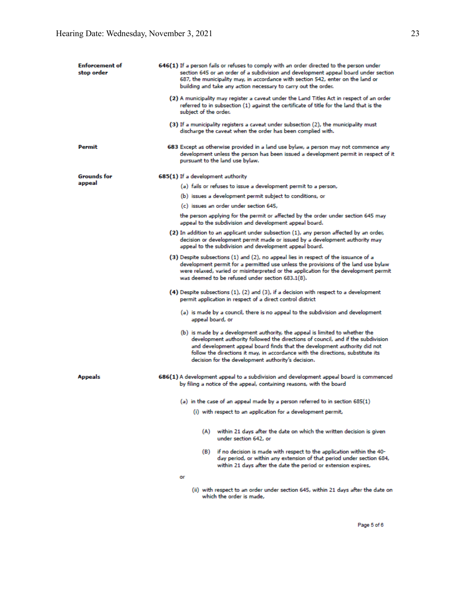| <b>Enforcement</b> of<br>stop order | 646(1) If a person fails or refuses to comply with an order directed to the person under<br>section 645 or an order of a subdivision and development appeal board under section<br>687, the municipality may, in accordance with section 542, enter on the land or<br>building and take any action necessary to carry out the order.                                                   |
|-------------------------------------|----------------------------------------------------------------------------------------------------------------------------------------------------------------------------------------------------------------------------------------------------------------------------------------------------------------------------------------------------------------------------------------|
|                                     | (2) A municipality may register a caveat under the Land Titles Act in respect of an order<br>referred to in subsection (1) against the certificate of title for the land that is the<br>subject of the order.                                                                                                                                                                          |
|                                     | (3) If a municipality registers a caveat under subsection (2), the municipality must<br>discharge the caveat when the order has been complied with.                                                                                                                                                                                                                                    |
| Permit                              | 683 Except as otherwise provided in a land use bylaw, a person may not commence any<br>development unless the person has been issued a development permit in respect of it<br>pursuant to the land use bylaw.                                                                                                                                                                          |
| Grounds for                         | 685(1) If a development authority                                                                                                                                                                                                                                                                                                                                                      |
| appeal                              | (a) fails or refuses to issue a development permit to a person,                                                                                                                                                                                                                                                                                                                        |
|                                     | (b) issues a development permit subject to conditions, or                                                                                                                                                                                                                                                                                                                              |
|                                     | (c) issues an order under section 645,                                                                                                                                                                                                                                                                                                                                                 |
|                                     | the person applying for the permit or affected by the order under section 645 may<br>appeal to the subdivision and development appeal board.                                                                                                                                                                                                                                           |
|                                     | (2) In addition to an applicant under subsection (1), any person affected by an order,<br>decision or development permit made or issued by a development authority may<br>appeal to the subdivision and development appeal board.                                                                                                                                                      |
|                                     | (3) Despite subsections (1) and (2), no appeal lies in respect of the issuance of a<br>development permit for a permitted use unless the provisions of the land use bylaw<br>were relaxed, varied or misinterpreted or the application for the development permit<br>was deemed to be refused under section 683.1(8).                                                                  |
|                                     | (4) Despite subsections (1), (2) and (3), if a decision with respect to a development<br>permit application in respect of a direct control district                                                                                                                                                                                                                                    |
|                                     | (a) is made by a council, there is no appeal to the subdivision and development<br>appeal board, or                                                                                                                                                                                                                                                                                    |
|                                     | (b) is made by a development authority, the appeal is limited to whether the<br>development authority followed the directions of council, and if the subdivision<br>and development appeal board finds that the development authority did not<br>follow the directions it may, in accordance with the directions, substitute its<br>decision for the development authority's decision. |
| <b>Appeals</b>                      | 686(1) A development appeal to a subdivision and development appeal board is commenced<br>by filing a notice of the appeal, containing reasons, with the board                                                                                                                                                                                                                         |
|                                     | (a) in the case of an appeal made by a person referred to in section 685(1)                                                                                                                                                                                                                                                                                                            |
|                                     | (i) with respect to an application for a development permit,                                                                                                                                                                                                                                                                                                                           |
|                                     | (A)<br>within 21 days after the date on which the written decision is given<br>under section 642, or                                                                                                                                                                                                                                                                                   |
|                                     | if no decision is made with respect to the application within the 40-<br>(B)<br>day period, or within any extension of that period under section 684,<br>within 21 days after the date the period or extension expires,                                                                                                                                                                |
|                                     | or                                                                                                                                                                                                                                                                                                                                                                                     |
|                                     | (ii) with respect to an order under section 645, within 21 days after the date on<br>which the order is made.                                                                                                                                                                                                                                                                          |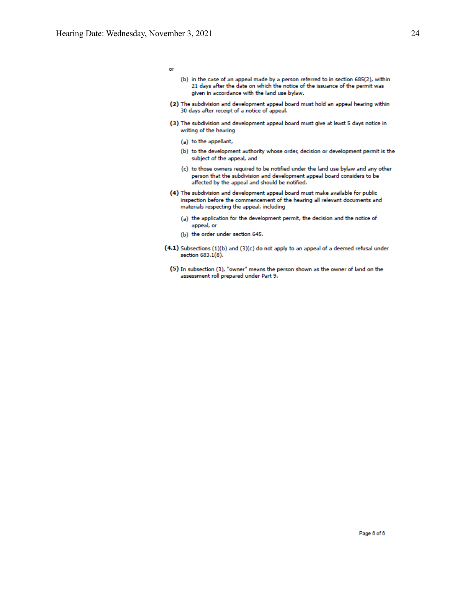24

or

- (b) in the case of an appeal made by a person referred to in section 685(2), within 21 days after the date on which the notice of the issuance of the permit was given in accordance with the land use bylaw.
- (2) The subdivision and development appeal board must hold an appeal hearing within 30 days after receipt of a notice of appeal.
- (3) The subdivision and development appeal board must give at least 5 days notice in writing of the hearing
	- (a) to the appellant,
	- (b) to the development authority whose order, decision or development permit is the subject of the appeal, and
	- (c) to those owners required to be notified under the land use bylaw and any other person that the subdivision and development appeal board considers to be affected by the appeal and should be notified.
- (4) The subdivision and development appeal board must make available for public inspection before the commencement of the hearing all relevant documents and materials respecting the appeal, including
	- (a) the application for the development permit, the decision and the notice of appeal, or
	- (b) the order under section 645.
- (4.1) Subsections (1)(b) and (3)(c) do not apply to an appeal of a deemed refusal under section 683.1(8).
	- (5) In subsection (3), "owner" means the person shown as the owner of land on the assessment roll prepared under Part 9.